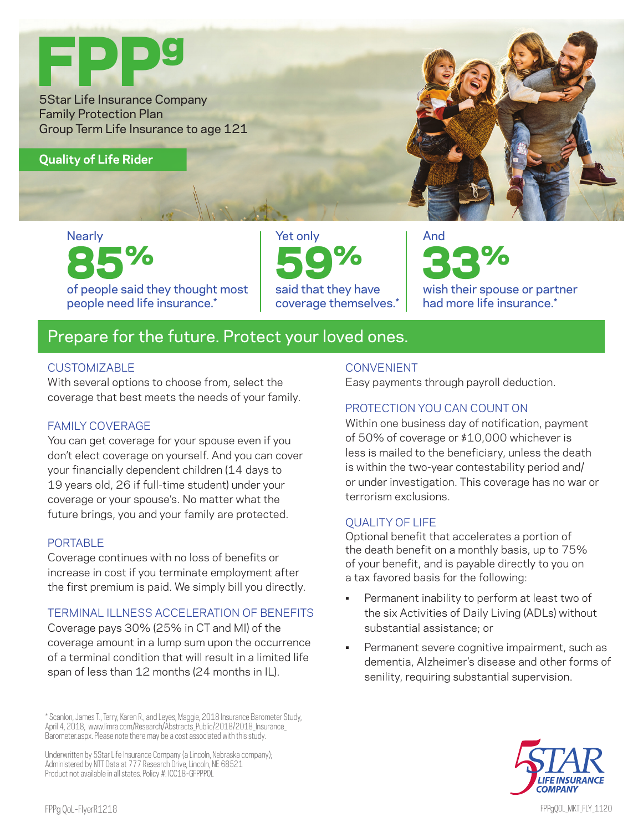

# **Nearly** 85%

of people said they thought most people need life insurance.\*

Yet only 59% said that they have coverage themselves.\*

## And 33%

wish their spouse or partner had more life insurance.\*

### Prepare for the future. Protect your loved ones.

#### **CUSTOMIZABLE**

With several options to choose from, select the coverage that best meets the needs of your family.

#### FAMILY COVERAGE

You can get coverage for your spouse even if you don't elect coverage on yourself. And you can cover your financially dependent children (14 days to 19 years old, 26 if full-time student) under your coverage or your spouse's. No matter what the future brings, you and your family are protected.

#### PORTABLE

Coverage continues with no loss of benefits or increase in cost if you terminate employment after the first premium is paid. We simply bill you directly.

#### TERMINAL ILLNESS ACCELERATION OF BENEFITS

Coverage pays 30% (25% in CT and MI) of the coverage amount in a lump sum upon the occurrence of a terminal condition that will result in a limited life span of less than 12 months (24 months in IL).

Underwritten by 5Star Life Insurance Company (a Lincoln, Nebraska company); Administered by NTT Data at 777 Research Drive, Lincoln, NE 68521 Product not available in all states. Policy #: ICC18-GFPPPOL

#### **CONVENIENT**

Easy payments through payroll deduction.

#### PROTECTION YOU CAN COUNT ON

Within one business day of notification, payment of 50% of coverage or \$10,000 whichever is less is mailed to the beneficiary, unless the death is within the two-year contestability period and/ or under investigation. This coverage has no war or terrorism exclusions.

#### QUALITY OF LIFE

Optional benefit that accelerates a portion of the death benefit on a monthly basis, up to 75% of your benefit, and is payable directly to you on a tax favored basis for the following:

- Permanent inability to perform at least two of the six Activities of Daily Living (ADLs) without substantial assistance; or
- Permanent severe cognitive impairment, such as dementia, Alzheimer's disease and other forms of senility, requiring substantial supervision.



<sup>\*</sup> Scanlon, James T., Terry, Karen R., and Leyes, Maggie, 2018 Insurance Barometer Study, April 4, 2018, www.limra.com/Research/Abstracts\_Public/2018/2018\_Insurance Barometer.aspx. Please note there may be a cost associated with this study.